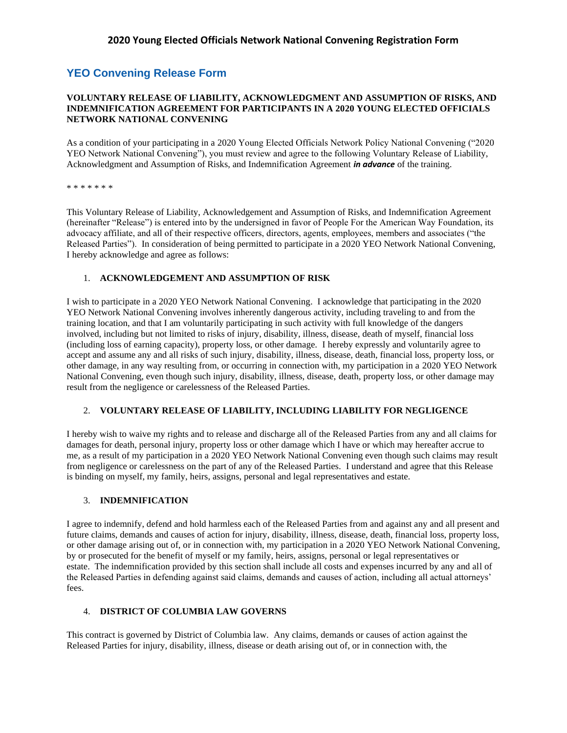# **YEO Convening Release Form**

#### **VOLUNTARY RELEASE OF LIABILITY, ACKNOWLEDGMENT AND ASSUMPTION OF RISKS, AND INDEMNIFICATION AGREEMENT FOR PARTICIPANTS IN A 2020 YOUNG ELECTED OFFICIALS NETWORK NATIONAL CONVENING**

As a condition of your participating in a 2020 Young Elected Officials Network Policy National Convening ("2020 YEO Network National Convening"), you must review and agree to the following Voluntary Release of Liability, Acknowledgment and Assumption of Risks, and Indemnification Agreement *in advance* of the training.

\* \* \* \* \* \* \*

This Voluntary Release of Liability, Acknowledgement and Assumption of Risks, and Indemnification Agreement (hereinafter "Release") is entered into by the undersigned in favor of People For the American Way Foundation, its advocacy affiliate, and all of their respective officers, directors, agents, employees, members and associates ("the Released Parties"). In consideration of being permitted to participate in a 2020 YEO Network National Convening, I hereby acknowledge and agree as follows:

#### 1. **ACKNOWLEDGEMENT AND ASSUMPTION OF RISK**

I wish to participate in a 2020 YEO Network National Convening. I acknowledge that participating in the 2020 YEO Network National Convening involves inherently dangerous activity, including traveling to and from the training location, and that I am voluntarily participating in such activity with full knowledge of the dangers involved, including but not limited to risks of injury, disability, illness, disease, death of myself, financial loss (including loss of earning capacity), property loss, or other damage. I hereby expressly and voluntarily agree to accept and assume any and all risks of such injury, disability, illness, disease, death, financial loss, property loss, or other damage, in any way resulting from, or occurring in connection with, my participation in a 2020 YEO Network National Convening, even though such injury, disability, illness, disease, death, property loss, or other damage may result from the negligence or carelessness of the Released Parties.

#### 2. **VOLUNTARY RELEASE OF LIABILITY, INCLUDING LIABILITY FOR NEGLIGENCE**

I hereby wish to waive my rights and to release and discharge all of the Released Parties from any and all claims for damages for death, personal injury, property loss or other damage which I have or which may hereafter accrue to me, as a result of my participation in a 2020 YEO Network National Convening even though such claims may result from negligence or carelessness on the part of any of the Released Parties. I understand and agree that this Release is binding on myself, my family, heirs, assigns, personal and legal representatives and estate.

#### 3. **INDEMNIFICATION**

I agree to indemnify, defend and hold harmless each of the Released Parties from and against any and all present and future claims, demands and causes of action for injury, disability, illness, disease, death, financial loss, property loss, or other damage arising out of, or in connection with, my participation in a 2020 YEO Network National Convening, by or prosecuted for the benefit of myself or my family, heirs, assigns, personal or legal representatives or estate. The indemnification provided by this section shall include all costs and expenses incurred by any and all of the Released Parties in defending against said claims, demands and causes of action, including all actual attorneys' fees.

#### 4. **DISTRICT OF COLUMBIA LAW GOVERNS**

This contract is governed by District of Columbia law. Any claims, demands or causes of action against the Released Parties for injury, disability, illness, disease or death arising out of, or in connection with, the